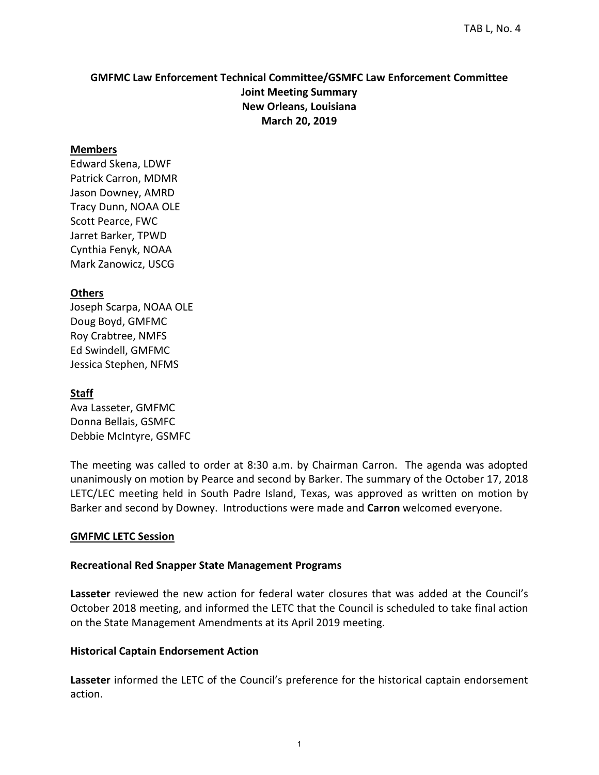## **GMFMC Law Enforcement Technical Committee/GSMFC Law Enforcement Committee Joint Meeting Summary New Orleans, Louisiana March 20, 2019**

#### **Members**

Edward Skena, LDWF Patrick Carron, MDMR Jason Downey, AMRD Tracy Dunn, NOAA OLE Scott Pearce, FWC Jarret Barker, TPWD Cynthia Fenyk, NOAA Mark Zanowicz, USCG

#### **Others**

Joseph Scarpa, NOAA OLE Doug Boyd, GMFMC Roy Crabtree, NMFS Ed Swindell, GMFMC Jessica Stephen, NFMS

#### **Staff**

Ava Lasseter, GMFMC Donna Bellais, GSMFC Debbie McIntyre, GSMFC

The meeting was called to order at 8:30 a.m. by Chairman Carron. The agenda was adopted unanimously on motion by Pearce and second by Barker. The summary of the October 17, 2018 LETC/LEC meeting held in South Padre Island, Texas, was approved as written on motion by Barker and second by Downey. Introductions were made and **Carron** welcomed everyone.

#### **GMFMC LETC Session**

#### **Recreational Red Snapper State Management Programs**

**Lasseter** reviewed the new action for federal water closures that was added at the Council's October 2018 meeting, and informed the LETC that the Council is scheduled to take final action on the State Management Amendments at its April 2019 meeting.

#### **Historical Captain Endorsement Action**

**Lasseter** informed the LETC of the Council's preference for the historical captain endorsement action.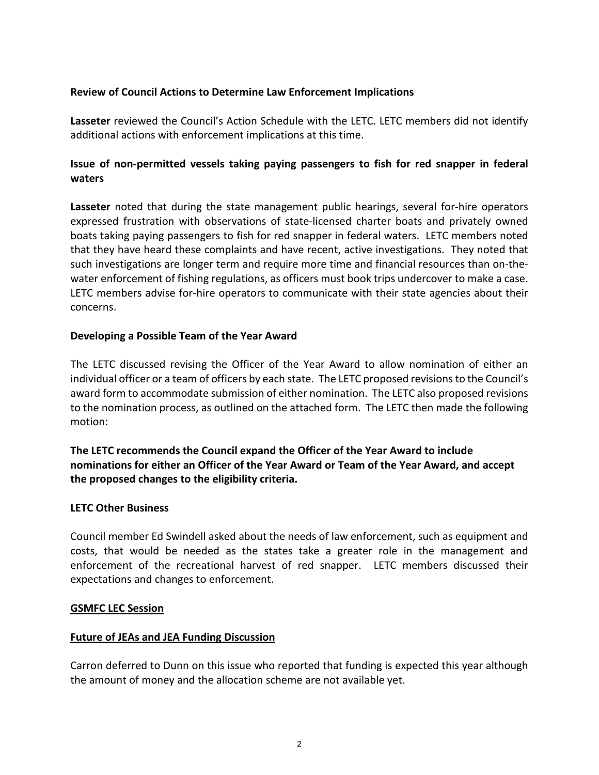## **Review of Council Actions to Determine Law Enforcement Implications**

**Lasseter** reviewed the Council's Action Schedule with the LETC. LETC members did not identify additional actions with enforcement implications at this time.

# **Issue of non-permitted vessels taking paying passengers to fish for red snapper in federal waters**

**Lasseter** noted that during the state management public hearings, several for-hire operators expressed frustration with observations of state-licensed charter boats and privately owned boats taking paying passengers to fish for red snapper in federal waters. LETC members noted that they have heard these complaints and have recent, active investigations. They noted that such investigations are longer term and require more time and financial resources than on-thewater enforcement of fishing regulations, as officers must book trips undercover to make a case. LETC members advise for-hire operators to communicate with their state agencies about their concerns.

### **Developing a Possible Team of the Year Award**

The LETC discussed revising the Officer of the Year Award to allow nomination of either an individual officer or a team of officers by each state. The LETC proposed revisions to the Council's award form to accommodate submission of either nomination. The LETC also proposed revisions to the nomination process, as outlined on the attached form. The LETC then made the following motion:

## **The LETC recommends the Council expand the Officer of the Year Award to include nominations for either an Officer of the Year Award or Team of the Year Award, and accept the proposed changes to the eligibility criteria.**

#### **LETC Other Business**

Council member Ed Swindell asked about the needs of law enforcement, such as equipment and costs, that would be needed as the states take a greater role in the management and enforcement of the recreational harvest of red snapper. LETC members discussed their expectations and changes to enforcement.

#### **GSMFC LEC Session**

## **Future of JEAs and JEA Funding Discussion**

Carron deferred to Dunn on this issue who reported that funding is expected this year although the amount of money and the allocation scheme are not available yet.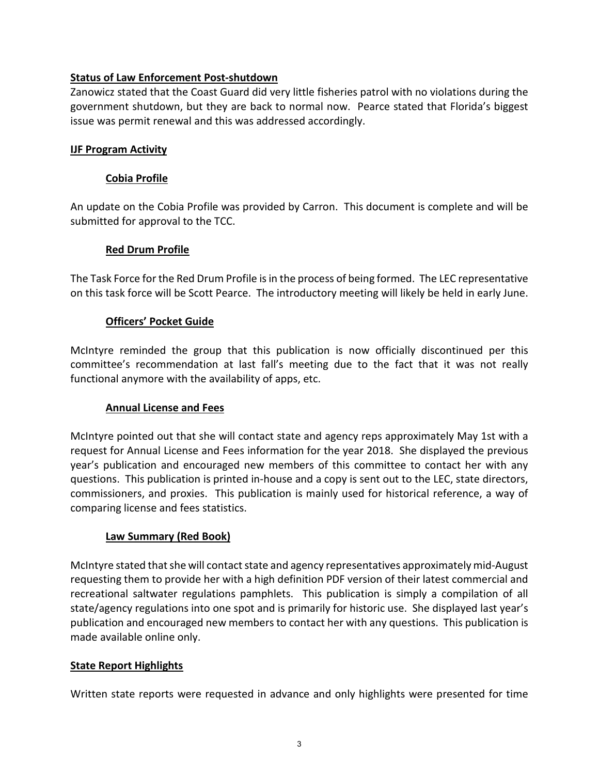## **Status of Law Enforcement Post-shutdown**

Zanowicz stated that the Coast Guard did very little fisheries patrol with no violations during the government shutdown, but they are back to normal now. Pearce stated that Florida's biggest issue was permit renewal and this was addressed accordingly.

#### **IJF Program Activity**

### **Cobia Profile**

An update on the Cobia Profile was provided by Carron. This document is complete and will be submitted for approval to the TCC.

### **Red Drum Profile**

The Task Force for the Red Drum Profile is in the process of being formed. The LEC representative on this task force will be Scott Pearce. The introductory meeting will likely be held in early June.

### **Officers' Pocket Guide**

McIntyre reminded the group that this publication is now officially discontinued per this committee's recommendation at last fall's meeting due to the fact that it was not really functional anymore with the availability of apps, etc.

#### **Annual License and Fees**

McIntyre pointed out that she will contact state and agency reps approximately May 1st with a request for Annual License and Fees information for the year 2018. She displayed the previous year's publication and encouraged new members of this committee to contact her with any questions. This publication is printed in-house and a copy is sent out to the LEC, state directors, commissioners, and proxies. This publication is mainly used for historical reference, a way of comparing license and fees statistics.

#### **Law Summary (Red Book)**

McIntyre stated that she will contact state and agency representatives approximately mid-August requesting them to provide her with a high definition PDF version of their latest commercial and recreational saltwater regulations pamphlets. This publication is simply a compilation of all state/agency regulations into one spot and is primarily for historic use. She displayed last year's publication and encouraged new members to contact her with any questions. This publication is made available online only.

#### **State Report Highlights**

Written state reports were requested in advance and only highlights were presented for time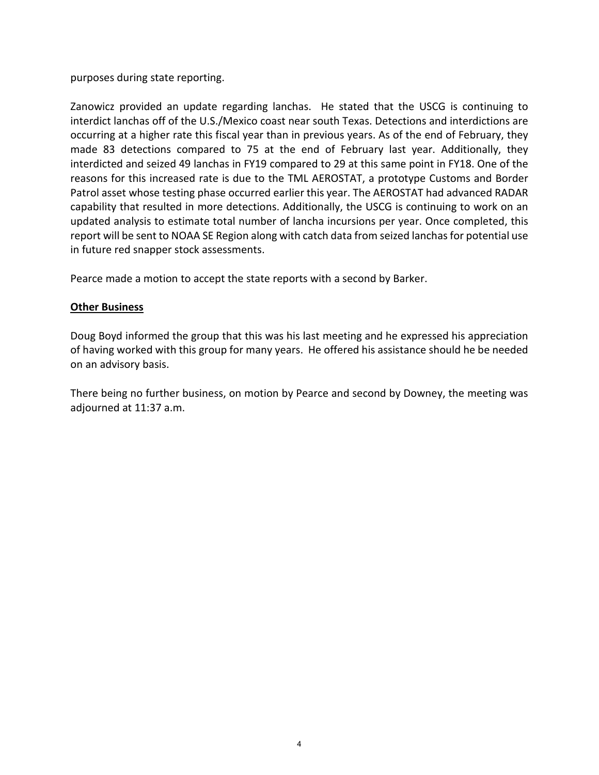purposes during state reporting.

Zanowicz provided an update regarding lanchas. He stated that the USCG is continuing to interdict lanchas off of the U.S./Mexico coast near south Texas. Detections and interdictions are occurring at a higher rate this fiscal year than in previous years. As of the end of February, they made 83 detections compared to 75 at the end of February last year. Additionally, they interdicted and seized 49 lanchas in FY19 compared to 29 at this same point in FY18. One of the reasons for this increased rate is due to the TML AEROSTAT, a prototype Customs and Border Patrol asset whose testing phase occurred earlier this year. The AEROSTAT had advanced RADAR capability that resulted in more detections. Additionally, the USCG is continuing to work on an updated analysis to estimate total number of lancha incursions per year. Once completed, this report will be sent to NOAA SE Region along with catch data from seized lanchas for potential use in future red snapper stock assessments.

Pearce made a motion to accept the state reports with a second by Barker.

### **Other Business**

Doug Boyd informed the group that this was his last meeting and he expressed his appreciation of having worked with this group for many years. He offered his assistance should he be needed on an advisory basis.

There being no further business, on motion by Pearce and second by Downey, the meeting was adjourned at 11:37 a.m.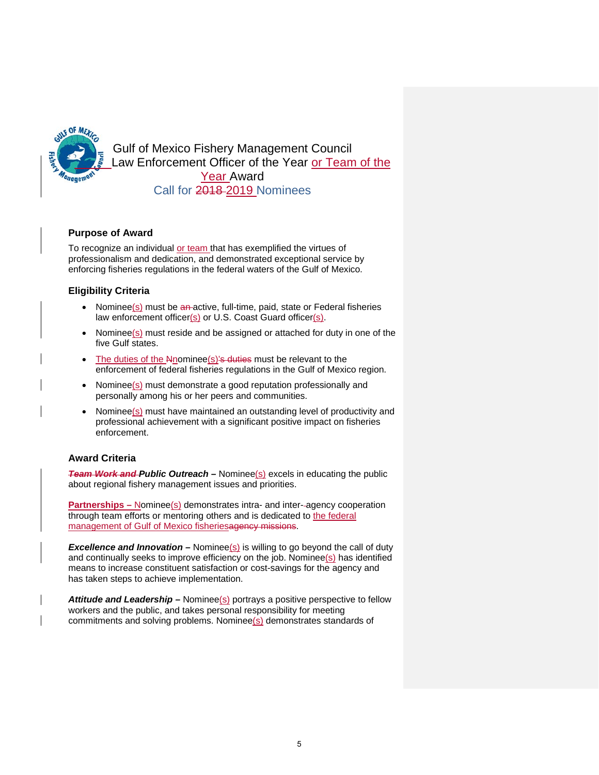

Gulf of Mexico Fishery Management Council Law Enforcement Officer of the Year or Team of the Year Award Call for 2018 2019 Nominees

#### **Purpose of Award**

To recognize an individual or team that has exemplified the virtues of professionalism and dedication, and demonstrated exceptional service by enforcing fisheries regulations in the federal waters of the Gulf of Mexico.

#### **Eligibility Criteria**

- Nominee $(s)$  must be an-active, full-time, paid, state or Federal fisheries law enforcement officer(s) or U.S. Coast Guard officer(s).
- Nominee(s) must reside and be assigned or attached for duty in one of the five Gulf states.
- The duties of the  $N$ -nominee $(s)$ 's duties must be relevant to the enforcement of federal fisheries regulations in the Gulf of Mexico region.
- Nominee(s) must demonstrate a good reputation professionally and personally among his or her peers and communities.
- Nominee(s) must have maintained an outstanding level of productivity and professional achievement with a significant positive impact on fisheries enforcement.

#### **Award Criteria**

*Team Work and Public Outreach –* Nominee(s) excels in educating the public about regional fishery management issues and priorities.

**Partnerships** – Nominee(s) demonstrates intra- and inter-agency cooperation through team efforts or mentoring others and is dedicated to the federal management of Gulf of Mexico fisheriesagency missions.

**Excellence and Innovation** – Nominee(s) is willing to go beyond the call of duty and continually seeks to improve efficiency on the job. Nominee(s) has identified means to increase constituent satisfaction or cost-savings for the agency and has taken steps to achieve implementation.

Attitude and Leadership – Nominee(s) portrays a positive perspective to fellow workers and the public, and takes personal responsibility for meeting commitments and solving problems. Nominee(s) demonstrates standards of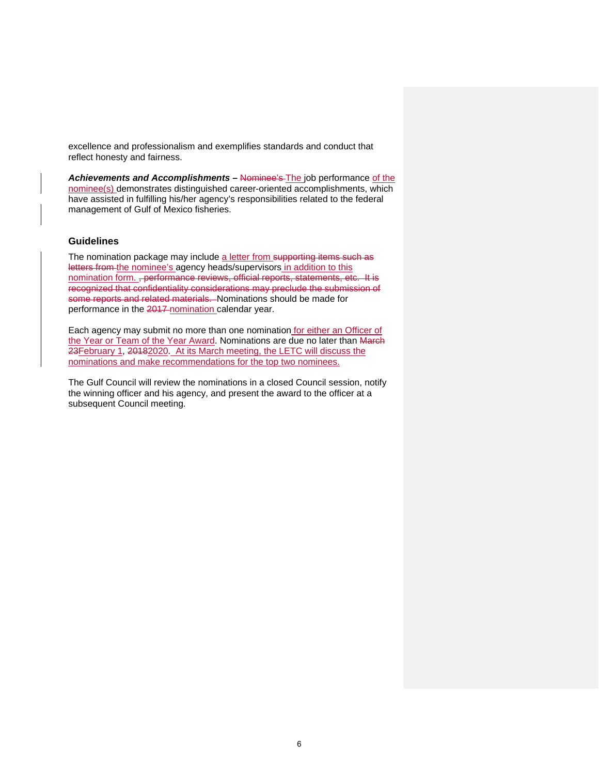excellence and professionalism and exemplifies standards and conduct that reflect honesty and fairness.

*Achievements and Accomplishments –* Nominee's The job performance of the nominee(s) demonstrates distinguished career-oriented accomplishments, which have assisted in fulfilling his/her agency's responsibilities related to the federal management of Gulf of Mexico fisheries.

#### **Guidelines**

The nomination package may include a letter from supporting items such as letters from the nominee's agency heads/supervisors in addition to this nomination form. <del>, performance reviews, official reports, statements, etc. It is</del> recognized that confidentiality considerations may preclude the submission of some reports and related materials. Nominations should be made for performance in the 2017 nomination calendar year.

Each agency may submit no more than one nomination for either an Officer of the Year or Team of the Year Award. Nominations are due no later than March 23February 1, 20182020. At its March meeting, the LETC will discuss the nominations and make recommendations for the top two nominees.

The Gulf Council will review the nominations in a closed Council session, notify the winning officer and his agency, and present the award to the officer at a subsequent Council meeting.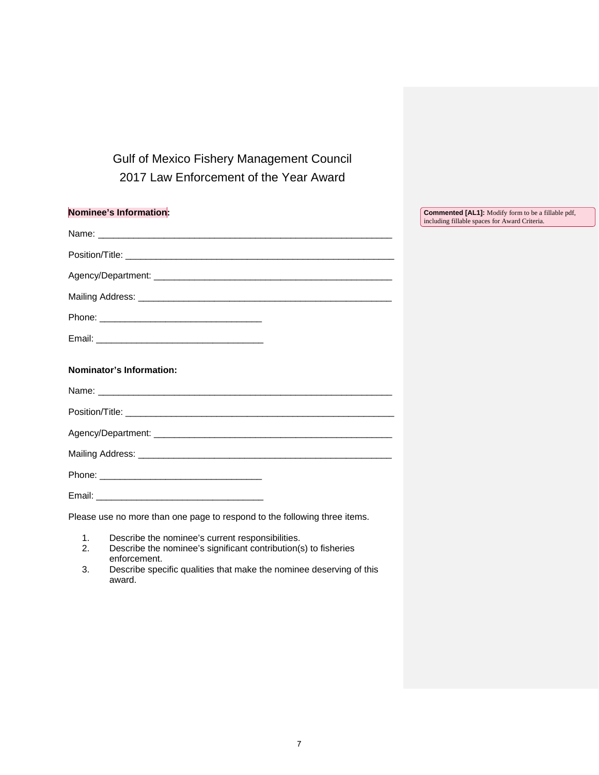Gulf of Mexico Fishery Management Council 2017 Law Enforcement of the Year Award

| Nominee's Information:                                                    | <b>Commented [AL1]:</b> Modify form to be a fillable pdf,<br>including fillable spaces for Award Criteria. |
|---------------------------------------------------------------------------|------------------------------------------------------------------------------------------------------------|
|                                                                           |                                                                                                            |
|                                                                           |                                                                                                            |
|                                                                           |                                                                                                            |
|                                                                           |                                                                                                            |
|                                                                           |                                                                                                            |
|                                                                           |                                                                                                            |
| <b>Nominator's Information:</b>                                           |                                                                                                            |
|                                                                           |                                                                                                            |
|                                                                           |                                                                                                            |
|                                                                           |                                                                                                            |
|                                                                           |                                                                                                            |
|                                                                           |                                                                                                            |
|                                                                           |                                                                                                            |
| Please use no more than one page to respond to the following three items. |                                                                                                            |
| 4 . December the propriate convention proposal little o                   |                                                                                                            |

- 1. Describe the nominee's current responsibilities.<br>2. Describe the nominee's significant contribution(s 2. Describe the nominee's significant contribution(s) to fisheries enforcement.
- 3. Describe specific qualities that make the nominee deserving of this award.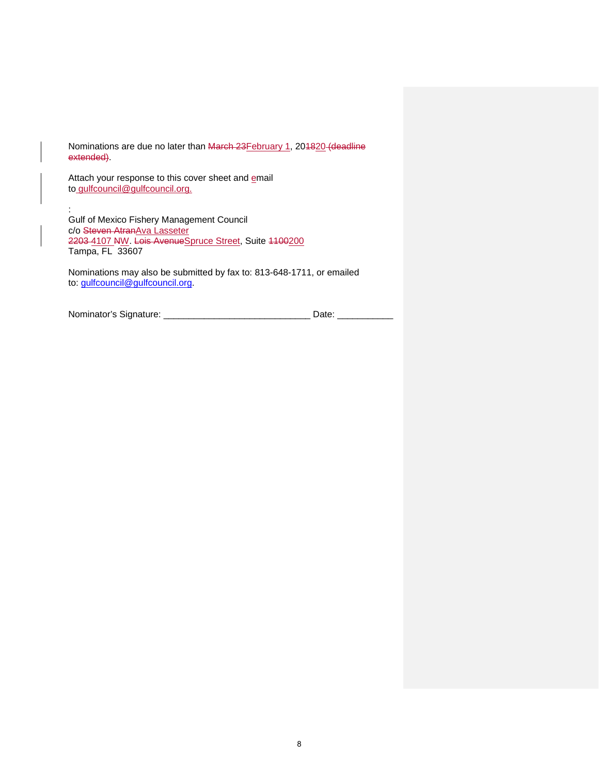Nominations are due no later than March 23February 1, 201820 (deadline extended).

Attach your response to this cover sheet and **email** to [gulfcouncil@gulfcouncil.org.](mailto:gulfcouncil@gulfcouncil.org)

: Gulf of Mexico Fishery Management Council c/o <del>Steven Atran</del><u>Ava Lasseter</u> 2203 4107 NW. Lois AvenueSpruce Street, Suite 1100200 Tampa, FL 33607

Nominations may also be submitted by fax to: 813-648-1711, or emailed to: [gulfcouncil@gulfcouncil.org.](mailto:gulfcouncil@gulfcouncil.org)

| Nominator's Signature: |  |  |
|------------------------|--|--|
|                        |  |  |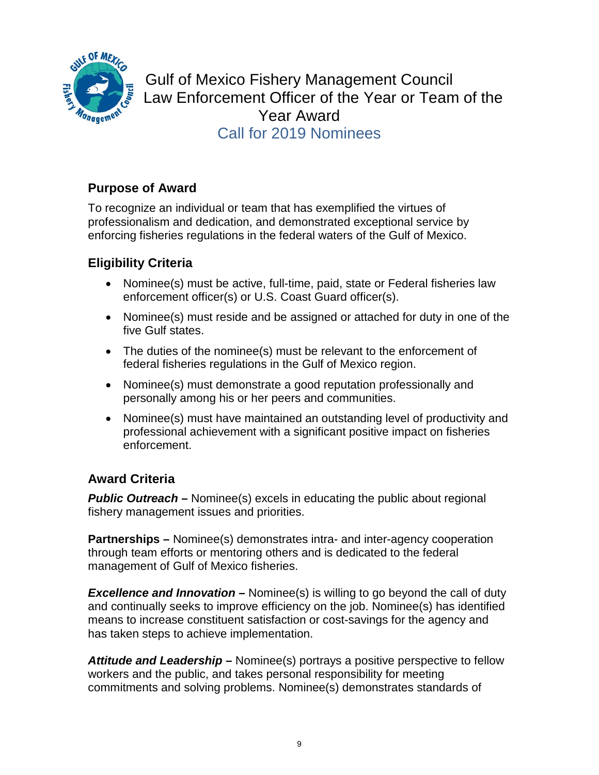

Gulf of Mexico Fishery Management Council Law Enforcement Officer of the Year or Team of the Year Award Call for 2019 Nominees

# **Purpose of Award**

To recognize an individual or team that has exemplified the virtues of professionalism and dedication, and demonstrated exceptional service by enforcing fisheries regulations in the federal waters of the Gulf of Mexico.

# **Eligibility Criteria**

- Nominee(s) must be active, full-time, paid, state or Federal fisheries law enforcement officer(s) or U.S. Coast Guard officer(s).
- Nominee(s) must reside and be assigned or attached for duty in one of the five Gulf states.
- The duties of the nominee(s) must be relevant to the enforcement of federal fisheries regulations in the Gulf of Mexico region.
- Nominee(s) must demonstrate a good reputation professionally and personally among his or her peers and communities.
- Nominee(s) must have maintained an outstanding level of productivity and professional achievement with a significant positive impact on fisheries enforcement.

# **Award Criteria**

**Public Outreach** – Nominee(s) excels in educating the public about regional fishery management issues and priorities.

**Partnerships –** Nominee(s) demonstrates intra- and inter-agency cooperation through team efforts or mentoring others and is dedicated to the federal management of Gulf of Mexico fisheries.

*Excellence and Innovation –* Nominee(s) is willing to go beyond the call of duty and continually seeks to improve efficiency on the job. Nominee(s) has identified means to increase constituent satisfaction or cost-savings for the agency and has taken steps to achieve implementation.

*Attitude and Leadership –* Nominee(s) portrays a positive perspective to fellow workers and the public, and takes personal responsibility for meeting commitments and solving problems. Nominee(s) demonstrates standards of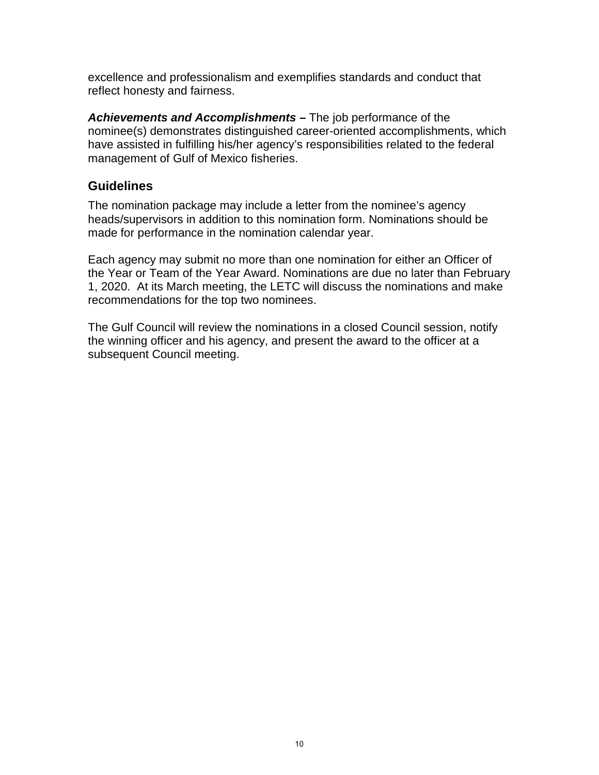excellence and professionalism and exemplifies standards and conduct that reflect honesty and fairness.

*Achievements and Accomplishments –* The job performance of the nominee(s) demonstrates distinguished career-oriented accomplishments, which have assisted in fulfilling his/her agency's responsibilities related to the federal management of Gulf of Mexico fisheries.

# **Guidelines**

The nomination package may include a letter from the nominee's agency heads/supervisors in addition to this nomination form. Nominations should be made for performance in the nomination calendar year.

Each agency may submit no more than one nomination for either an Officer of the Year or Team of the Year Award. Nominations are due no later than February 1, 2020. At its March meeting, the LETC will discuss the nominations and make recommendations for the top two nominees.

The Gulf Council will review the nominations in a closed Council session, notify the winning officer and his agency, and present the award to the officer at a subsequent Council meeting.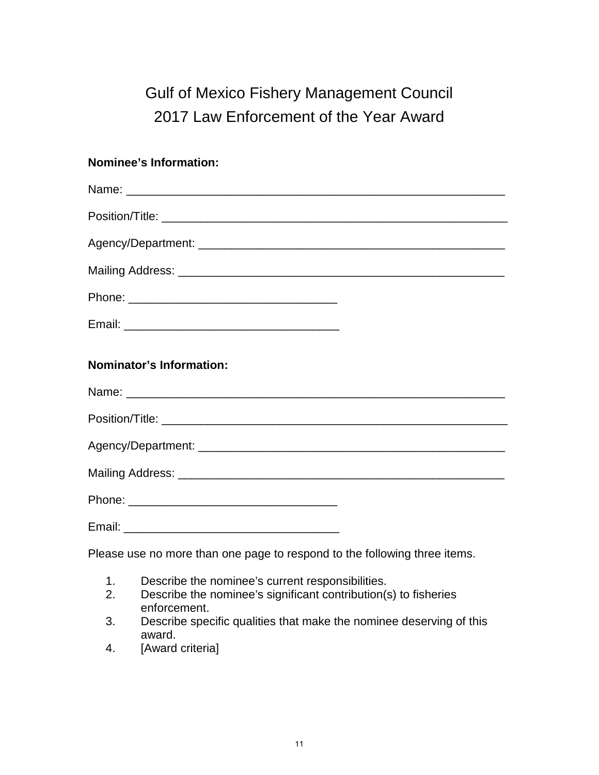# Gulf of Mexico Fishery Management Council 2017 Law Enforcement of the Year Award

# **Nominee's Information:**

| <b>Nominator's Information:</b>                                                                                                                                                                                              |
|------------------------------------------------------------------------------------------------------------------------------------------------------------------------------------------------------------------------------|
|                                                                                                                                                                                                                              |
|                                                                                                                                                                                                                              |
|                                                                                                                                                                                                                              |
|                                                                                                                                                                                                                              |
|                                                                                                                                                                                                                              |
|                                                                                                                                                                                                                              |
| Please use no more than one page to respond to the following three items.                                                                                                                                                    |
| Describe the nominee's current responsibilities.<br>1.<br>Describe the nominee's significant contribution(s) to fisheries<br>2.<br>enforcement.<br>Describe specific qualities that make the nominee deserving of this<br>3. |

- award.
- 4. [Award criteria]